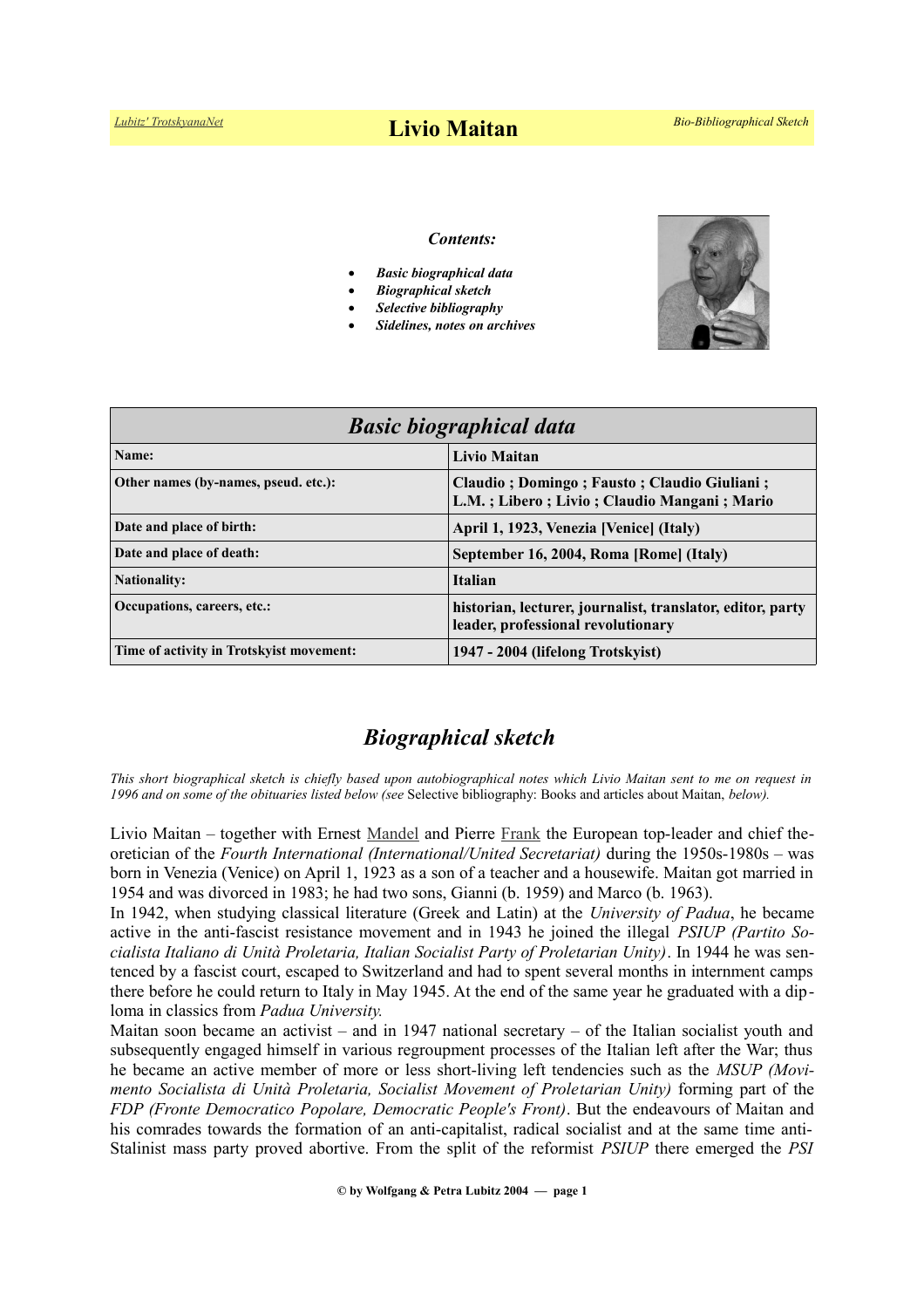#### *Contents:*

- *Basic biographical data*
- *Biographical sketch*
- *Selective bibliography*
- *Sidelines, notes on archives*



| <b>Basic biographical data</b>           |                                                                                                  |
|------------------------------------------|--------------------------------------------------------------------------------------------------|
| Name:                                    | <b>Livio Maitan</b>                                                                              |
| Other names (by-names, pseud. etc.):     | Claudio; Domingo; Fausto; Claudio Giuliani;<br>L.M.; Libero; Livio; Claudio Mangani; Mario       |
| Date and place of birth:                 | April 1, 1923, Venezia [Venice] (Italy)                                                          |
| Date and place of death:                 | September 16, 2004, Roma [Rome] (Italy)                                                          |
| <b>Nationality:</b>                      | <b>Italian</b>                                                                                   |
| Occupations, careers, etc.:              | historian, lecturer, journalist, translator, editor, party<br>leader, professional revolutionary |
| Time of activity in Trotskyist movement: | 1947 - 2004 (lifelong Trotskyist)                                                                |

# *Biographical sketch*

*This short biographical sketch is chiefly based upon autobiographical notes which Livio Maitan sent to me on request in 1996 and on some of the obituaries listed below (see* Selective bibliography: Books and articles about Maitan, *below).*

Livio Maitan – together with Ernest [Mandel](https://www.trotskyana.net/Trotskyists/Ernest_Mandel/ernest_mandel.html) and Pierre [Frank](https://www.trotskyana.net/Trotskyists/Bio-Bibliographies/bio-bibl_frank.pdf) the European top-leader and chief theoretician of the *Fourth International (International/United Secretariat)* during the 1950s-1980s – was born in Venezia (Venice) on April 1, 1923 as a son of a teacher and a housewife. Maitan got married in 1954 and was divorced in 1983; he had two sons, Gianni (b. 1959) and Marco (b. 1963).

In 1942, when studying classical literature (Greek and Latin) at the *University of Padua*, he became active in the anti-fascist resistance movement and in 1943 he joined the illegal *PSIUP (Partito Socialista Italiano di Unità Proletaria, Italian Socialist Party of Proletarian Unity)*. In 1944 he was sentenced by a fascist court, escaped to Switzerland and had to spent several months in internment camps there before he could return to Italy in May 1945. At the end of the same year he graduated with a diploma in classics from *Padua University.*

Maitan soon became an activist – and in 1947 national secretary – of the Italian socialist youth and subsequently engaged himself in various regroupment processes of the Italian left after the War; thus he became an active member of more or less short-living left tendencies such as the *MSUP (Movimento Socialista di Unità Proletaria, Socialist Movement of Proletarian Unity)* forming part of the *FDP (Fronte Democratico Popolare, Democratic People's Front)*. But the endeavours of Maitan and his comrades towards the formation of an anti-capitalist, radical socialist and at the same time anti-Stalinist mass party proved abortive. From the split of the reformist *PSIUP* there emerged the *PSI*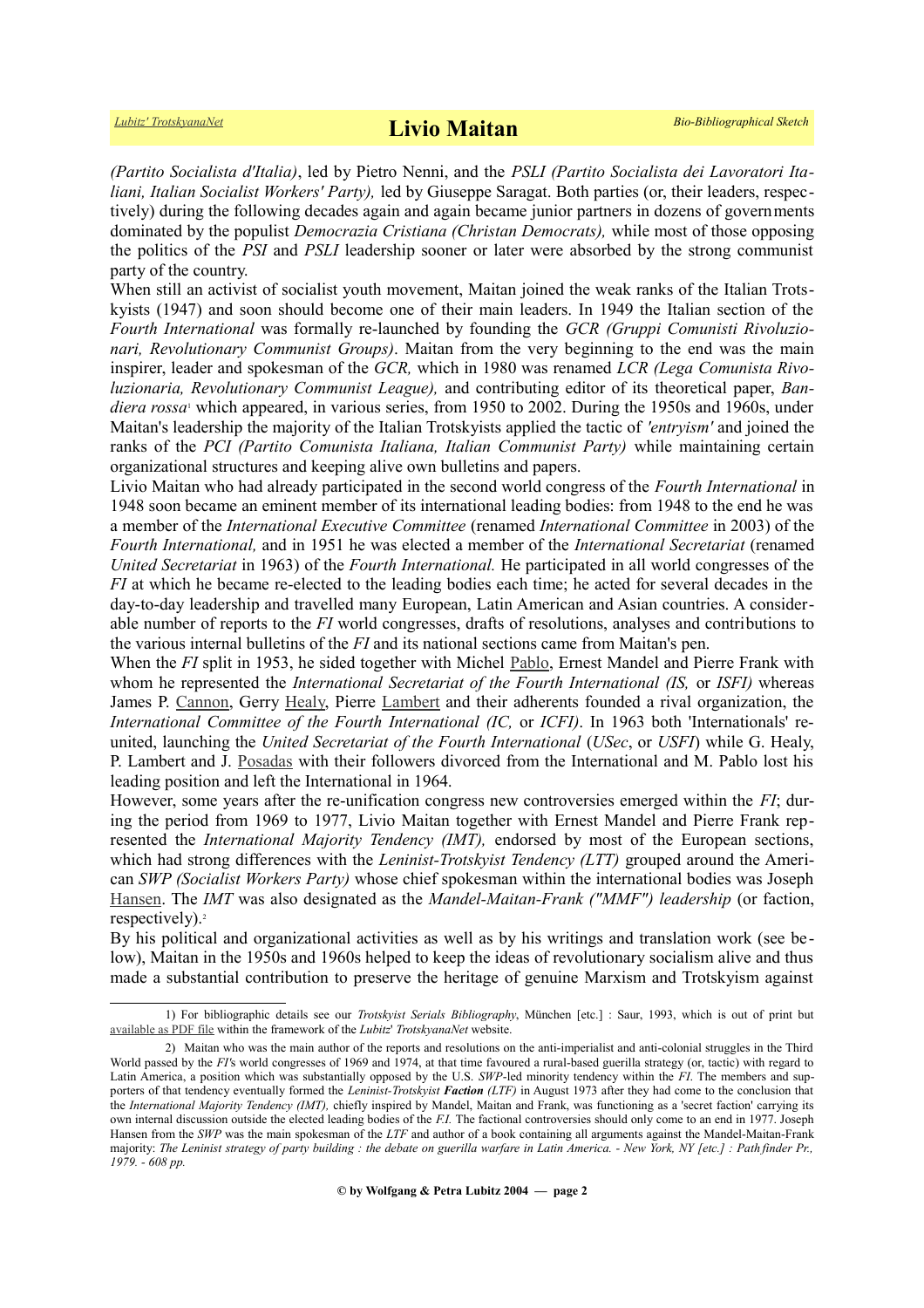*(Partito Socialista d'Italia)*, led by Pietro Nenni, and the *PSLI (Partito Socialista dei Lavoratori Italiani, Italian Socialist Workers' Party),* led by Giuseppe Saragat. Both parties (or, their leaders, respectively) during the following decades again and again became junior partners in dozens of governments dominated by the populist *Democrazia Cristiana (Christan Democrats),* while most of those opposing the politics of the *PSI* and *PSLI* leadership sooner or later were absorbed by the strong communist party of the country.

When still an activist of socialist youth movement, Maitan joined the weak ranks of the Italian Trotskyists (1947) and soon should become one of their main leaders. In 1949 the Italian section of the *Fourth International* was formally re-launched by founding the *GCR (Gruppi Comunisti Rivoluzionari, Revolutionary Communist Groups)*. Maitan from the very beginning to the end was the main inspirer, leader and spokesman of the *GCR,* which in 1980 was renamed *LCR (Lega Comunista Rivoluzionaria, Revolutionary Communist League),* and contributing editor of its theoretical paper, *Ban*dierarossa<sup>1</sup> which appeared, in various series, from 1950 to 2002. During the 1950s and 1960s, under Maitan's leadership the majority of the Italian Trotskyists applied the tactic of *'entryism'* and joined the ranks of the *PCI (Partito Comunista Italiana, Italian Communist Party)* while maintaining certain organizational structures and keeping alive own bulletins and papers.

Livio Maitan who had already participated in the second world congress of the *Fourth International* in 1948 soon became an eminent member of its international leading bodies: from 1948 to the end he was a member of the *International Executive Committee* (renamed *International Committee* in 2003) of the *Fourth International,* and in 1951 he was elected a member of the *International Secretariat* (renamed *United Secretariat* in 1963) of the *Fourth International.* He participated in all world congresses of the *FI* at which he became re-elected to the leading bodies each time; he acted for several decades in the day-to-day leadership and travelled many European, Latin American and Asian countries. A considerable number of reports to the *FI* world congresses, drafts of resolutions, analyses and contributions to the various internal bulletins of the *FI* and its national sections came from Maitan's pen.

When the *FI* split in 1953, he sided together with Michel [Pablo,](https://www.trotskyana.net/Trotskyists/Bio-Bibliographies/bio-bibl_pablo.pdf) Ernest Mandel and Pierre Frank with whom he represented the *International Secretariat of the Fourth International (IS,* or *ISFI)* whereas James P. [Cannon,](https://www.trotskyana.net/Trotskyists/Bio-Bibliographies/bio-bibl_cannon.pdf) Gerry [Healy,](https://www.trotskyana.net/Trotskyists/Bio-Bibliographies/bio-bibl_healy.pdf) Pierre [Lambert](https://en.wikipedia.org/wiki/Pierre_Lambert) and their adherents founded a rival organization, the *International Committee of the Fourth International (IC,* or *ICFI)*. In 1963 both 'Internationals' reunited, launching the *United Secretariat of the Fourth International* (*USec*, or *USFI*) while G. Healy, P. Lambert and J. [Posadas](https://en.wikipedia.org/wiki/J._Posadas) with their followers divorced from the International and M. Pablo lost his leading position and left the International in 1964.

However, some years after the re-unification congress new controversies emerged within the *FI*; during the period from 1969 to 1977, Livio Maitan together with Ernest Mandel and Pierre Frank represented the *International Majority Tendency (IMT),* endorsed by most of the European sections, which had strong differences with the *Leninist-Trotskyist Tendency (LTT)* grouped around the American *SWP (Socialist Workers Party)* whose chief spokesman within the international bodies was Joseph [Hansen.](http://www.trotskyana.net/Trotskyists/Bio-Bibliographies/bio-bibl_hansen_j.pdf) The *IMT* was also designated as the *Mandel-Maitan-Frank ("MMF") leadership* (or faction, respectively).<sup>[2](#page-1-1)</sup>

By his political and organizational activities as well as by his writings and translation work (see be low), Maitan in the 1950s and 1960s helped to keep the ideas of revolutionary socialism alive and thus made a substantial contribution to preserve the heritage of genuine Marxism and Trotskyism against

<span id="page-1-0"></span><sup>1)</sup> For bibliographic details see our *Trotskyist Serials Bibliography*, München [etc.] : Saur, 1993, which is out of print but [available as PDF file](https://www.trotskyana.net/LubitzBibliographies/Serials_Bibliography/serials_bibliography.htm#PDF) within the framework of the *Lubitz*' *TrotskyanaNet* website.

<span id="page-1-1"></span><sup>2)</sup> Maitan who was the main author of the reports and resolutions on the anti-imperialist and anti-colonial struggles in the Third World passed by the *FI'*s world congresses of 1969 and 1974, at that time favoured a rural-based guerilla strategy (or, tactic) with regard to Latin America, a position which was substantially opposed by the U.S. *SWP*-led minority tendency within the *FI*. The members and supporters of that tendency eventually formed the *Leninist-Trotskyist Faction (LTF)* in August 1973 after they had come to the conclusion that the *International Majority Tendency (IMT),* chiefly inspired by Mandel, Maitan and Frank, was functioning as a 'secret faction' carrying its own internal discussion outside the elected leading bodies of the *F.I.* The factional controversies should only come to an end in 1977. Joseph Hansen from the *SWP* was the main spokesman of the *LTF* and author of a book containing all arguments against the Mandel-Maitan-Frank majority: *The Leninist strategy of party building : the debate on guerilla warfare in Latin America. - New York, NY [etc.] : Path finder Pr., 1979. - 608 pp.*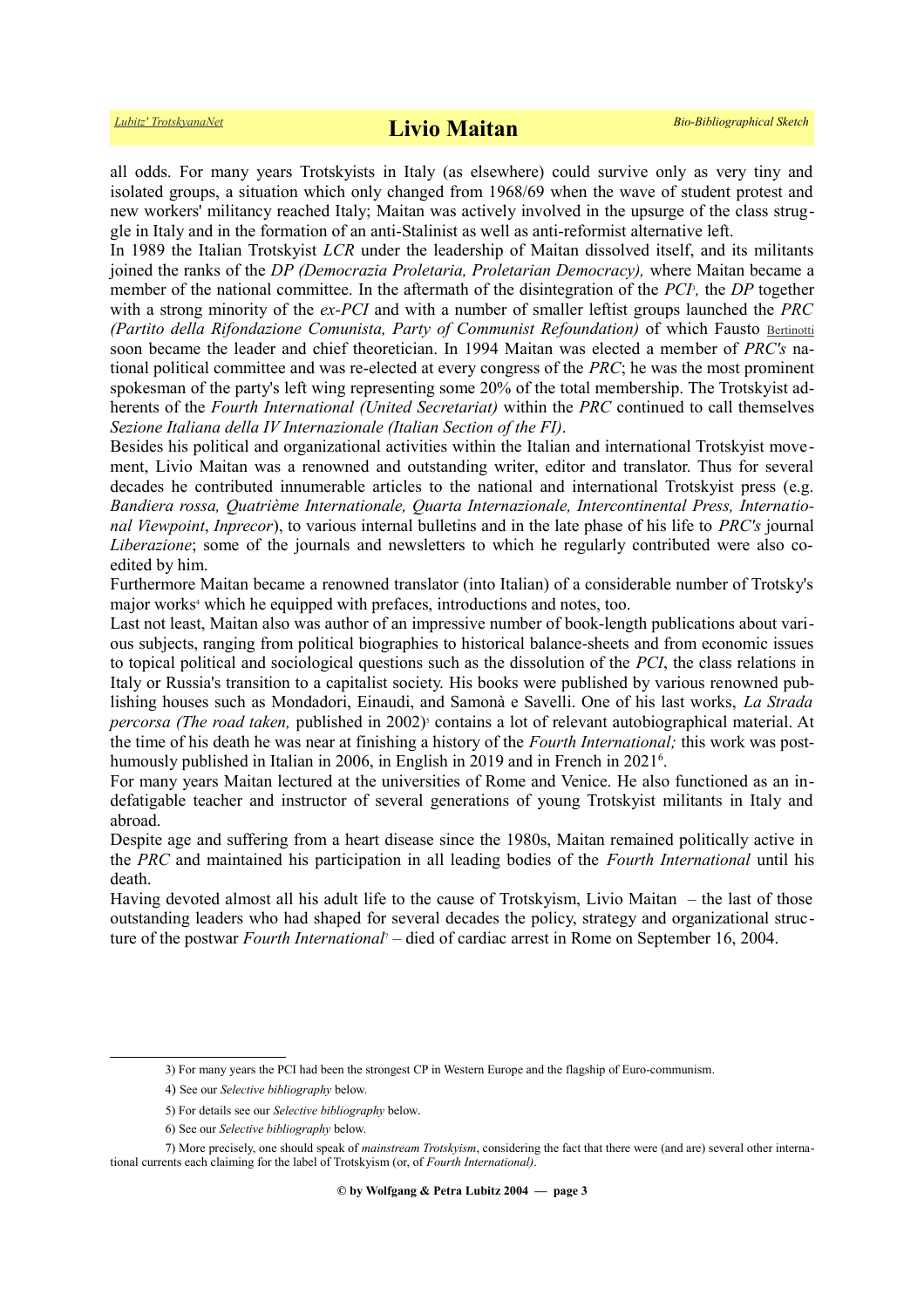all odds. For many years Trotskyists in Italy (as elsewhere) could survive only as very tiny and isolated groups, a situation which only changed from 1968/69 when the wave of student protest and new workers' militancy reached Italy; Maitan was actively involved in the upsurge of the class struggle in Italy and in the formation of an anti-Stalinist as well as anti-reformist alternative left.

In 1989 the Italian Trotskyist *LCR* under the leadership of Maitan dissolved itself, and its militants joined the ranks of the *DP (Democrazia Proletaria, Proletarian Democracy),* where Maitan became a member of the national committee. In the aftermath of the disintegration of the *PCI*<sup>3</sup> *[,](#page-2-0)* the *DP* together with a strong minority of the *ex-PCI* and with a number of smaller leftist groups launched the *PRC (Partito della Rifondazione Comunista, Party of Communist Refoundation)* of which Fausto [Bertinotti](https://en.wikipedia.org/wiki/Fausto_Bertinotti) soon became the leader and chief theoretician. In 1994 Maitan was elected a member of *PRC's* national political committee and was re-elected at every congress of the *PRC*; he was the most prominent spokesman of the party's left wing representing some 20% of the total membership. The Trotskyist adherents of the *Fourth International (United Secretariat)* within the *PRC* continued to call themselves *Sezione Italiana della IV Internazionale (Italian Section of the FI)*.

Besides his political and organizational activities within the Italian and international Trotskyist movement, Livio Maitan was a renowned and outstanding writer, editor and translator. Thus for several decades he contributed innumerable articles to the national and international Trotskyist press (e.g. *Bandiera rossa, Quatrième Internationale, Quarta Internazionale, Intercontinental Press, International Viewpoint*, *Inprecor*), to various internal bulletins and in the late phase of his life to *PRC's* journal *Liberazione*; some of the journals and newsletters to which he regularly contributed were also coedited by him.

Furthermore Maitan became a renowned translator (into Italian) of a considerable number of Trotsky's major works<sup>[4](#page-2-1)</sup> which he equipped with prefaces, introductions and notes, too.

Last not least, Maitan also was author of an impressive number of book-length publications about various subjects, ranging from political biographies to historical balance-sheets and from economic issues to topical political and sociological questions such as the dissolution of the *PCI*, the class relations in Italy or Russia's transition to a capitalist society. His books were published by various renowned publishing houses such as Mondadori, Einaudi, and Samonà e Savelli. One of his last works, *La Strada percorsa (The road taken, published in 2002)<sup>[5](#page-2-2)</sup>* contains a lot of relevant autobiographical material. At the time of his death he was near at finishing a history of the *Fourth International;* this work was post-humously published in Italian in 200[6](#page-2-3), in English in 2019 and in French in 2021<sup>6</sup>.

For many years Maitan lectured at the universities of Rome and Venice. He also functioned as an indefatigable teacher and instructor of several generations of young Trotskyist militants in Italy and abroad.

Despite age and suffering from a heart disease since the 1980s, Maitan remained politically active in the *PRC* and maintained his participation in all leading bodies of the *Fourth International* until his death.

Having devoted almost all his adult life to the cause of Trotskyism, Livio Maitan – the last of those outstanding leaders who had shaped for several decades the policy, strategy and organizational structure of the postwar *Fourth International*[7](#page-2-4) – died of cardiac arrest in Rome on September 16, 2004.

<span id="page-2-0"></span><sup>3)</sup> For many years the PCI had been the strongest CP in Western Europe and the flagship of Euro-communism.

<span id="page-2-1"></span><sup>4</sup>) See our *Selective bibliography* below.

<span id="page-2-2"></span><sup>5)</sup> For details see our *Selective bibliography* below.

<span id="page-2-4"></span><span id="page-2-3"></span><sup>6)</sup> See our *Selective bibliography* below.

<sup>7)</sup> More precisely, one should speak of *mainstream Trotskyism*, considering the fact that there were (and are) several other international currents each claiming for the label of Trotskyism (or, of *Fourth International)*.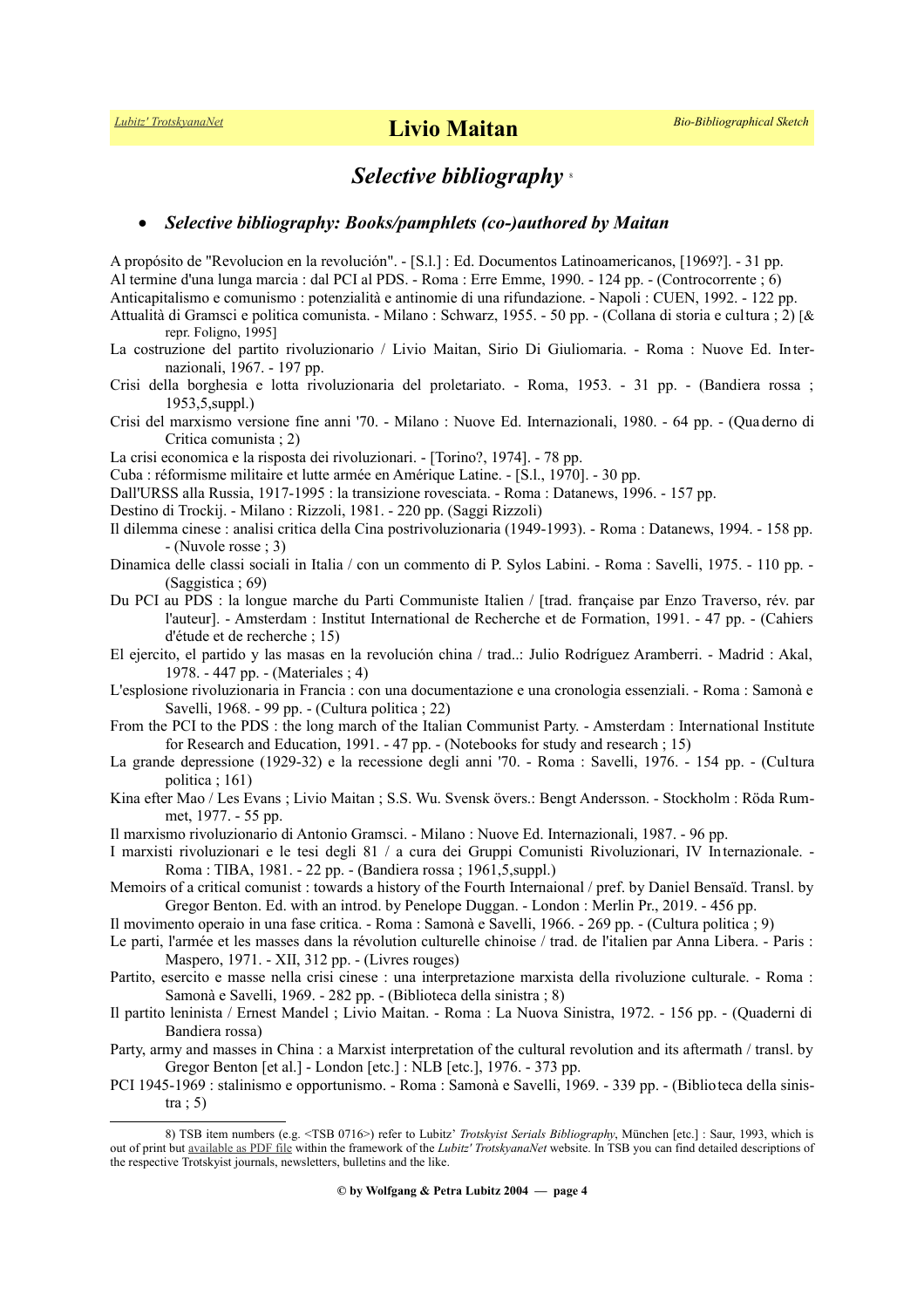## *Selective bibliography* [8](#page-3-0)

#### *Selective bibliography: Books/pamphlets (co-)authored by Maitan*

A propósito de "Revolucion en la revolución". - [S.l.] : Ed. Documentos Latinoamericanos, [1969?]. - 31 pp. Al termine d'una lunga marcia : dal PCI al PDS. - Roma : Erre Emme, 1990. - 124 pp. - (Controcorrente ; 6) Anticapitalismo e comunismo : potenzialità e antinomie di una rifundazione. - Napoli : CUEN, 1992. - 122 pp. Attualità di Gramsci e politica comunista. - Milano : Schwarz, 1955. - 50 pp. - (Collana di storia e cultura ; 2) [& repr. Foligno, 1995] La costruzione del partito rivoluzionario / Livio Maitan, Sirio Di Giuliomaria. - Roma : Nuove Ed. Internazionali, 1967. - 197 pp. Crisi della borghesia e lotta rivoluzionaria del proletariato. - Roma, 1953. - 31 pp. - (Bandiera rossa ; 1953,5,suppl.) Crisi del marxismo versione fine anni '70. - Milano : Nuove Ed. Internazionali, 1980. - 64 pp. - (Qua derno di Critica comunista ; 2) La crisi economica e la risposta dei rivoluzionari. - [Torino?, 1974]. - 78 pp. Cuba : réformisme militaire et lutte armée en Amérique Latine. - [S.l., 1970]. - 30 pp. Dall'URSS alla Russia, 1917-1995 : la transizione rovesciata. - Roma : Datanews, 1996. - 157 pp. Destino di Trockij. - Milano : Rizzoli, 1981. - 220 pp. (Saggi Rizzoli) Il dilemma cinese : analisi critica della Cina postrivoluzionaria (1949-1993). - Roma : Datanews, 1994. - 158 pp. - (Nuvole rosse ; 3) Dinamica delle classi sociali in Italia / con un commento di P. Sylos Labini. - Roma : Savelli, 1975. - 110 pp. - (Saggistica ; 69) Du PCI au PDS : la longue marche du Parti Communiste Italien / [trad. française par Enzo Traverso, rév. par l'auteur]. - Amsterdam : Institut International de Recherche et de Formation, 1991. - 47 pp. - (Cahiers d'étude et de recherche ; 15) El ejercito, el partido y las masas en la revolución china / trad..: Julio Rodríguez Aramberri. - Madrid : Akal, 1978. - 447 pp. - (Materiales ; 4)

L'esplosione rivoluzionaria in Francia : con una documentazione e una cronologia essenziali. - Roma : Samonà e Savelli, 1968. - 99 pp. - (Cultura politica ; 22)

From the PCI to the PDS : the long march of the Italian Communist Party. - Amsterdam : International Institute for Research and Education, 1991. - 47 pp. - (Notebooks for study and research ; 15)

La grande depressione (1929-32) e la recessione degli anni '70. - Roma : Savelli, 1976. - 154 pp. - (Cultura politica ; 161)

Kina efter Mao / Les Evans ; Livio Maitan ; S.S. Wu. Svensk övers.: Bengt Andersson. - Stockholm : Röda Rummet, 1977. - 55 pp.

Il marxismo rivoluzionario di Antonio Gramsci. - Milano : Nuove Ed. Internazionali, 1987. - 96 pp.

I marxisti rivoluzionari e le tesi degli 81 / a cura dei Gruppi Comunisti Rivoluzionari, IV Internazionale. - Roma : TIBA, 1981. - 22 pp. - (Bandiera rossa ; 1961,5,suppl.)

Memoirs of a critical comunist : towards a history of the Fourth Internaional / pref. by Daniel Bensaïd. Transl. by Gregor Benton. Ed. with an introd. by Penelope Duggan. - London : Merlin Pr., 2019. - 456 pp.

Il movimento operaio in una fase critica. - Roma : Samonà e Savelli, 1966. - 269 pp. - (Cultura politica ; 9)

Le parti, l'armée et les masses dans la révolution culturelle chinoise / trad. de l'italien par Anna Libera. - Paris : Maspero, 1971. - XII, 312 pp. - (Livres rouges)

Partito, esercito e masse nella crisi cinese : una interpretazione marxista della rivoluzione culturale. - Roma : Samonà e Savelli, 1969. - 282 pp. - (Biblioteca della sinistra ; 8)

Il partito leninista / Ernest Mandel ; Livio Maitan. - Roma : La Nuova Sinistra, 1972. - 156 pp. - (Quaderni di Bandiera rossa)

Party, army and masses in China : a Marxist interpretation of the cultural revolution and its aftermath / transl. by Gregor Benton [et al.] - London [etc.] : NLB [etc.], 1976. - 373 pp.

PCI 1945-1969 : stalinismo e opportunismo. - Roma : Samonà e Savelli, 1969. - 339 pp. - (Biblioteca della sinis $tra : 5)$ 

<span id="page-3-0"></span><sup>8)</sup> TSB item numbers (e.g. <TSB 0716>) refer to Lubitz' *Trotskyist Serials Bibliography*, München [etc.] : Saur, 1993, which is out of print but [available as PDF file](https://www.trotskyana.net/LubitzBibliographies/Serials_Bibliography/serials_bibliography.htm#PDF) within the framework of the *Lubitz' TrotskyanaNet* website. In TSB you can find detailed descriptions of the respective Trotskyist journals, newsletters, bulletins and the like.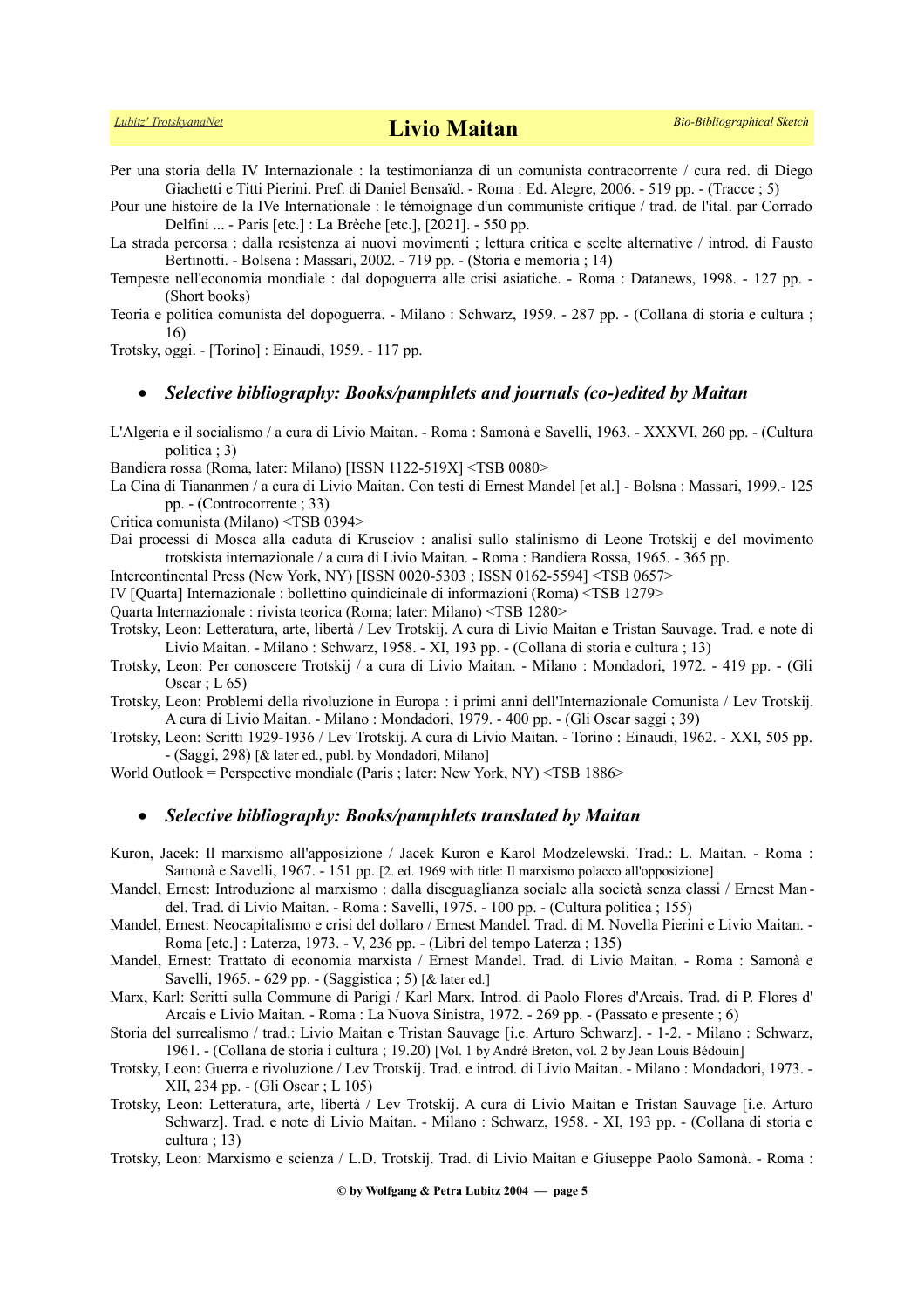Per una storia della IV Internazionale : la testimonianza di un comunista contracorrente / cura red. di Diego Giachetti e Titti Pierini. Pref. di Daniel Bensaïd. - Roma : Ed. Alegre, 2006. - 519 pp. - (Tracce ; 5)

Pour une histoire de la IVe Internationale : le témoignage d'un communiste critique / trad. de l'ital. par Corrado Delfini ... - Paris [etc.] : La Brèche [etc.], [2021]. - 550 pp.

La strada percorsa : dalla resistenza ai nuovi movimenti ; lettura critica e scelte alternative / introd. di Fausto Bertinotti. - Bolsena : Massari, 2002. - 719 pp. - (Storia e memoria ; 14)

Tempeste nell'economia mondiale : dal dopoguerra alle crisi asiatiche. - Roma : Datanews, 1998. - 127 pp. - (Short books)

Teoria e politica comunista del dopoguerra. - Milano : Schwarz, 1959. - 287 pp. - (Collana di storia e cultura ; 16)

Trotsky, oggi. - [Torino] : Einaudi, 1959. - 117 pp.

## *Selective bibliography: Books/pamphlets and journals (co-)edited by Maitan*

L'Algeria e il socialismo / a cura di Livio Maitan. - Roma : Samonà e Savelli, 1963. - XXXVI, 260 pp. - (Cultura politica ; 3)

Bandiera rossa (Roma, later: Milano) [ISSN 1122-519X] <TSB 0080>

La Cina di Tiananmen / a cura di Livio Maitan. Con testi di Ernest Mandel [et al.] - Bolsna : Massari, 1999.- 125 pp. - (Controcorrente ; 33)

Critica comunista (Milano) <TSB 0394>

Dai processi di Mosca alla caduta di Krusciov : analisi sullo stalinismo di Leone Trotskij e del movimento trotskista internazionale / a cura di Livio Maitan. - Roma : Bandiera Rossa, 1965. - 365 pp.

Intercontinental Press (New York, NY) [ISSN 0020-5303 ; ISSN 0162-5594] <TSB 0657>

IV [Quarta] Internazionale : bollettino quindicinale di informazioni (Roma) <TSB 1279>

Quarta Internazionale : rivista teorica (Roma; later: Milano) <TSB 1280>

- Trotsky, Leon: Letteratura, arte, libertà / Lev Trotskij. A cura di Livio Maitan e Tristan Sauvage. Trad. e note di Livio Maitan. - Milano : Schwarz, 1958. - XI, 193 pp. - (Collana di storia e cultura ; 13)
- Trotsky, Leon: Per conoscere Trotskij / a cura di Livio Maitan. Milano : Mondadori, 1972. 419 pp. (Gli Oscar ;  $L$  65)

Trotsky, Leon: Problemi della rivoluzione in Europa : i primi anni dell'Internazionale Comunista / Lev Trotskij. A cura di Livio Maitan. - Milano : Mondadori, 1979. - 400 pp. - (Gli Oscar saggi ; 39)

Trotsky, Leon: Scritti 1929-1936 / Lev Trotskij. A cura di Livio Maitan. - Torino : Einaudi, 1962. - XXI, 505 pp. - (Saggi, 298) [& later ed., publ. by Mondadori, Milano]

World Outlook = Perspective mondiale (Paris ; later: New York, NY) <TSB 1886>

## *Selective bibliography: Books/pamphlets translated by Maitan*

Kuron, Jacek: Il marxismo all'apposizione / Jacek Kuron e Karol Modzelewski. Trad.: L. Maitan. - Roma : Samonà e Savelli, 1967. - 151 pp. [2. ed. 1969 with title: Il marxismo polacco all'opposizione]

Mandel, Ernest: Introduzione al marxismo : dalla diseguaglianza sociale alla società senza classi / Ernest Man del. Trad. di Livio Maitan. - Roma : Savelli, 1975. - 100 pp. - (Cultura politica ; 155)

Mandel, Ernest: Neocapitalismo e crisi del dollaro / Ernest Mandel. Trad. di M. Novella Pierini e Livio Maitan. - Roma [etc.] : Laterza, 1973. - V, 236 pp. - (Libri del tempo Laterza ; 135)

Mandel, Ernest: Trattato di economia marxista / Ernest Mandel. Trad. di Livio Maitan. - Roma : Samonà e Savelli, 1965. - 629 pp. - (Saggistica ; 5) [& later ed.]

Marx, Karl: Scritti sulla Commune di Parigi / Karl Marx. Introd. di Paolo Flores d'Arcais. Trad. di P. Flores d' Arcais e Livio Maitan. - Roma : La Nuova Sinistra, 1972. - 269 pp. - (Passato e presente ; 6)

Storia del surrealismo / trad.: Livio Maitan e Tristan Sauvage [i.e. Arturo Schwarz]. - 1-2. - Milano : Schwarz, 1961. - (Collana de storia i cultura ; 19.20) [Vol. 1 by André Breton, vol. 2 by Jean Louis Bédouin]

Trotsky, Leon: Guerra e rivoluzione / Lev Trotskij. Trad. e introd. di Livio Maitan. - Milano : Mondadori, 1973. - XII, 234 pp. - (Gli Oscar ; L 105)

Trotsky, Leon: Letteratura, arte, libertà / Lev Trotskij. A cura di Livio Maitan e Tristan Sauvage [i.e. Arturo Schwarz]. Trad. e note di Livio Maitan. - Milano : Schwarz, 1958. - XI, 193 pp. - (Collana di storia e cultura ; 13)

Trotsky, Leon: Marxismo e scienza / L.D. Trotskij. Trad. di Livio Maitan e Giuseppe Paolo Samonà. - Roma :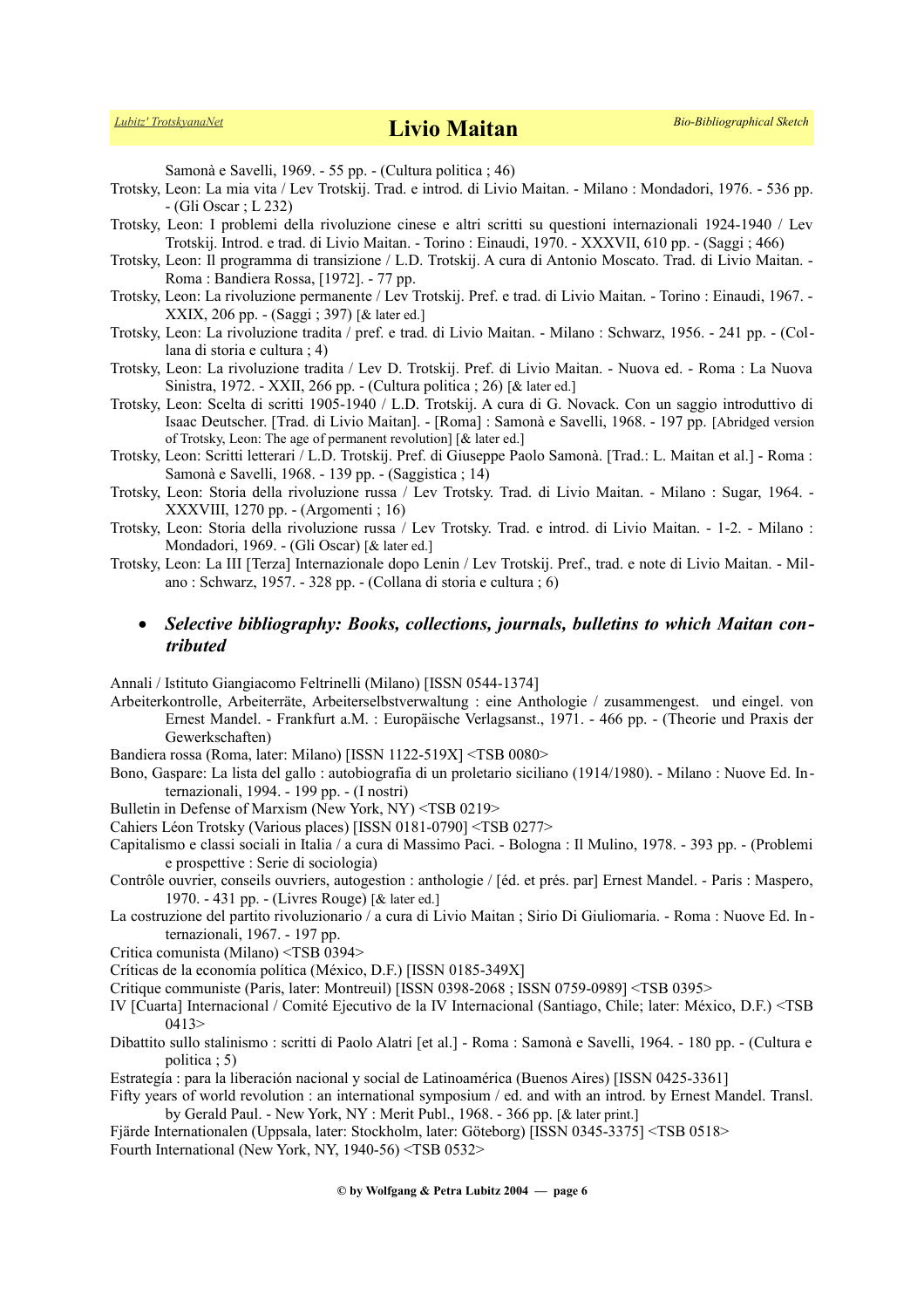Samonà e Savelli, 1969. - 55 pp. - (Cultura politica ; 46)

- Trotsky, Leon: La mia vita / Lev Trotskij. Trad. e introd. di Livio Maitan. Milano : Mondadori, 1976. 536 pp. - (Gli Oscar ; L 232)
- Trotsky, Leon: I problemi della rivoluzione cinese e altri scritti su questioni internazionali 1924-1940 / Lev Trotskij. Introd. e trad. di Livio Maitan. - Torino : Einaudi, 1970. - XXXVII, 610 pp. - (Saggi ; 466)
- Trotsky, Leon: Il programma di transizione / L.D. Trotskij. A cura di Antonio Moscato. Trad. di Livio Maitan. Roma : Bandiera Rossa, [1972]. - 77 pp.
- Trotsky, Leon: La rivoluzione permanente / Lev Trotskij. Pref. e trad. di Livio Maitan. Torino : Einaudi, 1967. XXIX, 206 pp. - (Saggi ; 397) [& later ed.]
- Trotsky, Leon: La rivoluzione tradita / pref. e trad. di Livio Maitan. Milano : Schwarz, 1956. 241 pp. (Collana di storia e cultura ; 4)
- Trotsky, Leon: La rivoluzione tradita / Lev D. Trotskij. Pref. di Livio Maitan. Nuova ed. Roma : La Nuova Sinistra, 1972. - XXII, 266 pp. - (Cultura politica ; 26) [& later ed.]
- Trotsky, Leon: Scelta di scritti 1905-1940 / L.D. Trotskij. A cura di G. Novack. Con un saggio introduttivo di Isaac Deutscher. [Trad. di Livio Maitan]. - [Roma] : Samonà e Savelli, 1968. - 197 pp. [Abridged version of Trotsky, Leon: The age of permanent revolution] [& later ed.]
- Trotsky, Leon: Scritti letterari / L.D. Trotskij. Pref. di Giuseppe Paolo Samonà. [Trad.: L. Maitan et al.] Roma : Samonà e Savelli, 1968. - 139 pp. - (Saggistica ; 14)
- Trotsky, Leon: Storia della rivoluzione russa / Lev Trotsky. Trad. di Livio Maitan. Milano : Sugar, 1964. XXXVIII, 1270 pp. - (Argomenti ; 16)
- Trotsky, Leon: Storia della rivoluzione russa / Lev Trotsky. Trad. e introd. di Livio Maitan. 1-2. Milano : Mondadori, 1969. - (Gli Oscar) [& later ed.]
- Trotsky, Leon: La III [Terza] Internazionale dopo Lenin / Lev Trotskij. Pref., trad. e note di Livio Maitan. Milano : Schwarz, 1957. - 328 pp. - (Collana di storia e cultura ; 6)

## *Selective bibliography: Books, collections, journals, bulletins to which Maitan contributed*

Annali / Istituto Giangiacomo Feltrinelli (Milano) [ISSN 0544-1374]

- Arbeiterkontrolle, Arbeiterräte, Arbeiterselbstverwaltung : eine Anthologie / zusammengest. und eingel. von Ernest Mandel. - Frankfurt a.M. : Europäische Verlagsanst., 1971. - 466 pp. - (Theorie und Praxis der Gewerkschaften)
- Bandiera rossa (Roma, later: Milano) [ISSN 1122-519X] <TSB 0080>
- Bono, Gaspare: La lista del gallo : autobiografia di un proletario siciliano (1914/1980). Milano : Nuove Ed. Internazionali, 1994. - 199 pp. - (I nostri)

Bulletin in Defense of Marxism (New York, NY) <TSB 0219>

- Cahiers Léon Trotsky (Various places) [ISSN 0181-0790] <TSB 0277>
- Capitalismo e classi sociali in Italia / a cura di Massimo Paci. Bologna : Il Mulino, 1978. 393 pp. (Problemi e prospettive : Serie di sociologia)
- Contrôle ouvrier, conseils ouvriers, autogestion : anthologie / [éd. et prés. par] Ernest Mandel. Paris : Maspero, 1970. - 431 pp. - (Livres Rouge) [& later ed.]
- La costruzione del partito rivoluzionario / a cura di Livio Maitan ; Sirio Di Giuliomaria. Roma : Nuove Ed. In ternazionali, 1967. - 197 pp.
- Critica comunista (Milano) <TSB 0394>
- Críticas de la economía política (México, D.F.) [ISSN 0185-349X]
- Critique communiste (Paris, later: Montreuil) [ISSN 0398-2068 ; ISSN 0759-0989] <TSB 0395>
- IV [Cuarta] Internacional / Comité Ejecutivo de la IV Internacional (Santiago, Chile; later: México, D.F.) <TSB 0413>
- Dibattito sullo stalinismo : scritti di Paolo Alatri [et al.] Roma : Samonà e Savelli, 1964. 180 pp. (Cultura e politica ; 5)
- Estrategía : para la liberación nacional y social de Latinoamérica (Buenos Aires) [ISSN 0425-3361]
- Fifty years of world revolution : an international symposium / ed. and with an introd. by Ernest Mandel. Transl. by Gerald Paul. - New York, NY : Merit Publ., 1968. - 366 pp. [& later print.]
- Fjärde Internationalen (Uppsala, later: Stockholm, later: Göteborg) [ISSN 0345-3375] <TSB 0518> Fourth International (New York, NY, 1940-56) <TSB 0532>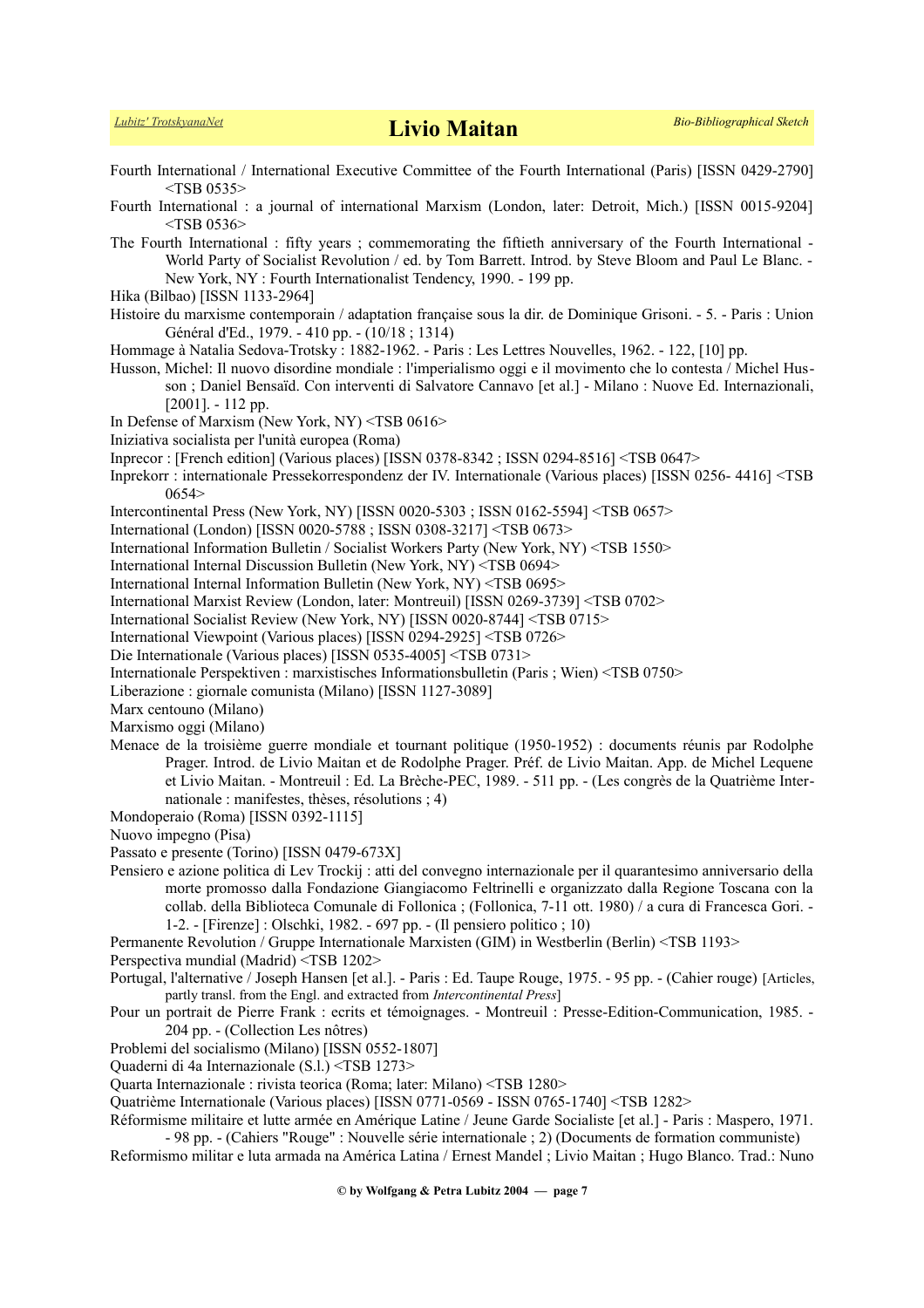- Fourth International / International Executive Committee of the Fourth International (Paris) [ISSN 0429-2790]  $<$ TSB 0535 $>$ Fourth International : a journal of international Marxism (London, later: Detroit, Mich.) [ISSN 0015-9204]  $<$ TSB 0536 $>$ The Fourth International : fifty years ; commemorating the fiftieth anniversary of the Fourth International - World Party of Socialist Revolution / ed. by Tom Barrett. Introd. by Steve Bloom and Paul Le Blanc. - New York, NY : Fourth Internationalist Tendency, 1990. - 199 pp. Hika (Bilbao) [ISSN 1133-2964] Histoire du marxisme contemporain / adaptation française sous la dir. de Dominique Grisoni. - 5. - Paris : Union Général d'Ed., 1979. - 410 pp. - (10/18 ; 1314) Hommage à Natalia Sedova-Trotsky : 1882-1962. - Paris : Les Lettres Nouvelles, 1962. - 122, [10] pp. Husson, Michel: Il nuovo disordine mondiale : l'imperialismo oggi e il movimento che lo contesta / Michel Husson ; Daniel Bensaïd. Con interventi di Salvatore Cannavo [et al.] - Milano : Nuove Ed. Internazionali, [2001]. - 112 pp. In Defense of Marxism (New York, NY) <TSB 0616> Iniziativa socialista per l'unità europea (Roma) Inprecor : [French edition] (Various places) [ISSN 0378-8342 ; ISSN 0294-8516] <TSB 0647> Inprekorr : internationale Pressekorrespondenz der IV. Internationale (Various places) [ISSN 0256- 4416] <TSB 0654> Intercontinental Press (New York, NY) [ISSN 0020-5303 ; ISSN 0162-5594] <TSB 0657> International (London) [ISSN 0020-5788 ; ISSN 0308-3217] <TSB 0673> International Information Bulletin / Socialist Workers Party (New York, NY) <TSB 1550> International Internal Discussion Bulletin (New York, NY) <TSB 0694> International Internal Information Bulletin (New York, NY) <TSB 0695> International Marxist Review (London, later: Montreuil) [ISSN 0269-3739] <TSB 0702> International Socialist Review (New York, NY) [ISSN 0020-8744] <TSB 0715> International Viewpoint (Various places) [ISSN 0294-2925] <TSB 0726> Die Internationale (Various places) [ISSN 0535-4005] <TSB 0731> Internationale Perspektiven : marxistisches Informationsbulletin (Paris ; Wien) <TSB 0750> Liberazione : giornale comunista (Milano) [ISSN 1127-3089] Marx centouno (Milano) Marxismo oggi (Milano) Menace de la troisième guerre mondiale et tournant politique (1950-1952) : documents réunis par Rodolphe Prager. Introd. de Livio Maitan et de Rodolphe Prager. Préf. de Livio Maitan. App. de Michel Lequene et Livio Maitan. - Montreuil : Ed. La Brèche-PEC, 1989. - 511 pp. - (Les congrès de la Quatrième Internationale : manifestes, thèses, résolutions ; 4) Mondoperaio (Roma) [ISSN 0392-1115] Nuovo impegno (Pisa) Passato e presente (Torino) [ISSN 0479-673X] Pensiero e azione politica di Lev Trockij : atti del convegno internazionale per il quarantesimo anniversario della morte promosso dalla Fondazione Giangiacomo Feltrinelli e organizzato dalla Regione Toscana con la collab. della Biblioteca Comunale di Follonica ; (Follonica, 7-11 ott. 1980) / a cura di Francesca Gori. - 1-2. - [Firenze] : Olschki, 1982. - 697 pp. - (Il pensiero politico ; 10) Permanente Revolution / Gruppe Internationale Marxisten (GIM) in Westberlin (Berlin) <TSB 1193> Perspectiva mundial (Madrid) <TSB 1202> Portugal, l'alternative / Joseph Hansen [et al.]. - Paris : Ed. Taupe Rouge, 1975. - 95 pp. - (Cahier rouge) [Articles, partly transl. from the Engl. and extracted from *Intercontinental Press*] Pour un portrait de Pierre Frank : ecrits et témoignages. - Montreuil : Presse-Edition-Communication, 1985. - 204 pp. - (Collection Les nôtres)
- Problemi del socialismo (Milano) [ISSN 0552-1807]
- Quaderni di 4a Internazionale (S.l.) <TSB 1273>

Quarta Internazionale : rivista teorica (Roma; later: Milano) <TSB 1280>

Quatrième Internationale (Various places) [ISSN 0771-0569 - ISSN 0765-1740] <TSB 1282>

Réformisme militaire et lutte armée en Amérique Latine / Jeune Garde Socialiste [et al.] - Paris : Maspero, 1971. - 98 pp. - (Cahiers "Rouge" : Nouvelle série internationale ; 2) (Documents de formation communiste)

Reformismo militar e luta armada na América Latina / Ernest Mandel ; Livio Maitan ; Hugo Blanco. Trad.: Nuno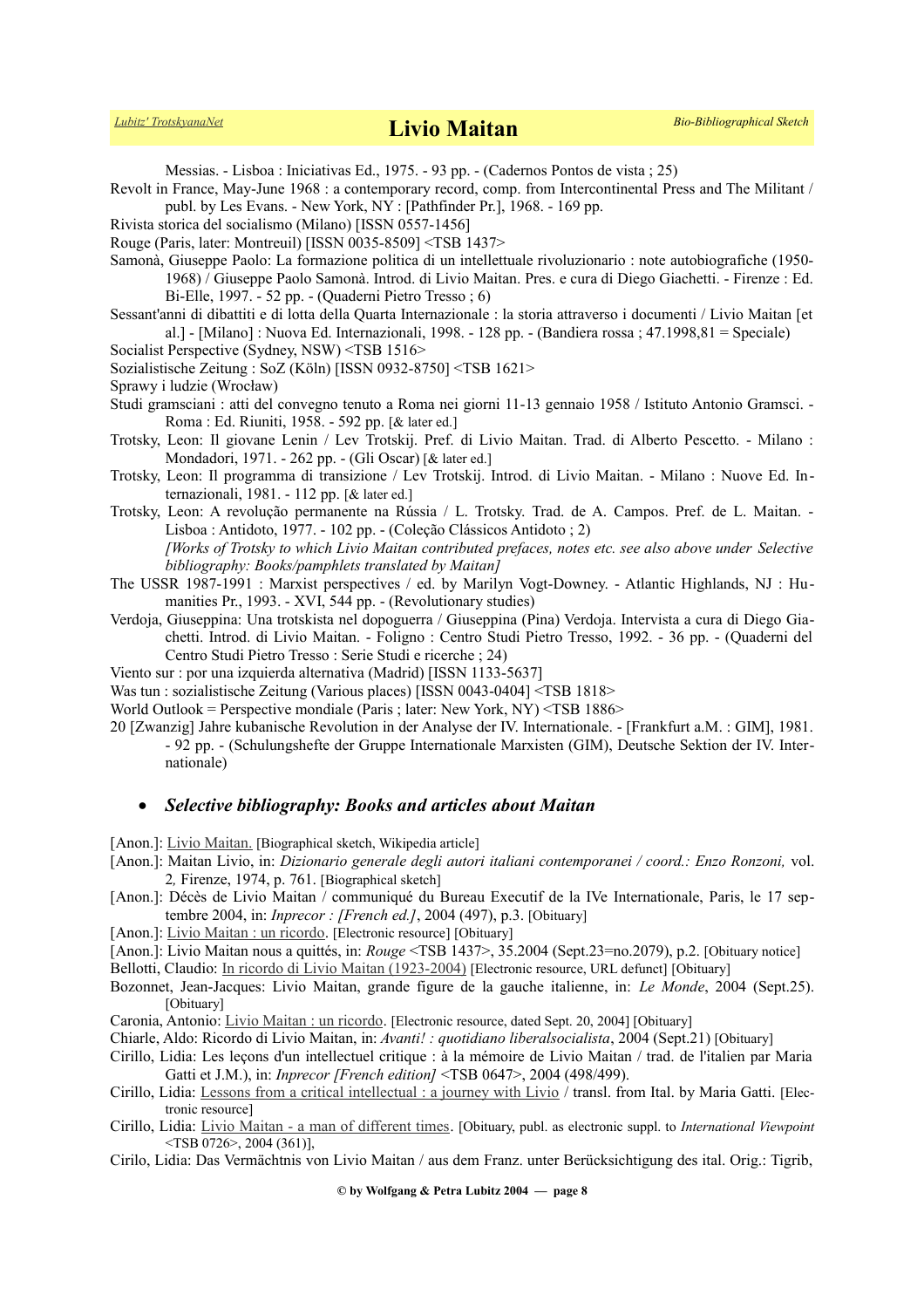Messias. - Lisboa : Iniciativas Ed., 1975. - 93 pp. - (Cadernos Pontos de vista ; 25)

Revolt in France, May-June 1968 : a contemporary record, comp. from Intercontinental Press and The Militant / publ. by Les Evans. - New York, NY : [Pathfinder Pr.], 1968. - 169 pp.

- Rivista storica del socialismo (Milano) [ISSN 0557-1456]
- Rouge (Paris, later: Montreuil) [ISSN 0035-8509] <TSB 1437>

Samonà, Giuseppe Paolo: La formazione politica di un intellettuale rivoluzionario : note autobiografiche (1950- 1968) / Giuseppe Paolo Samonà. Introd. di Livio Maitan. Pres. e cura di Diego Giachetti. - Firenze : Ed. Bi-Elle, 1997. - 52 pp. - (Quaderni Pietro Tresso ; 6)

- Sessant'anni di dibattiti e di lotta della Quarta Internazionale : la storia attraverso i documenti / Livio Maitan [et al.] - [Milano] : Nuova Ed. Internazionali, 1998. - 128 pp. - (Bandiera rossa ; 47.1998,81 = Speciale)
- Socialist Perspective (Sydney, NSW) <TSB 1516>

Sozialistische Zeitung : SoZ (Köln) [ISSN 0932-8750] <TSB 1621>

Sprawy i ludzie (Wrocław)

Studi gramsciani : atti del convegno tenuto a Roma nei giorni 11-13 gennaio 1958 / Istituto Antonio Gramsci. - Roma : Ed. Riuniti, 1958. - 592 pp. [& later ed.]

Trotsky, Leon: Il giovane Lenin / Lev Trotskij. Pref. di Livio Maitan. Trad. di Alberto Pescetto. - Milano : Mondadori, 1971. - 262 pp. - (Gli Oscar) [& later ed.]

Trotsky, Leon: Il programma di transizione / Lev Trotskij. Introd. di Livio Maitan. - Milano : Nuove Ed. Internazionali, 1981. - 112 pp. [& later ed.]

Trotsky, Leon: A revolução permanente na Rússia / L. Trotsky. Trad. de A. Campos. Pref. de L. Maitan. - Lisboa : Antidoto, 1977. - 102 pp. - (Coleção Clássicos Antidoto ; 2) *[Works of Trotsky to which Livio Maitan contributed prefaces, notes etc. see also above under Selective bibliography: Books/pamphlets translated by Maitan]*

The USSR 1987-1991 : Marxist perspectives / ed. by Marilyn Vogt-Downey. - Atlantic Highlands, NJ : Humanities Pr., 1993. - XVI, 544 pp. - (Revolutionary studies)

Verdoja, Giuseppina: Una trotskista nel dopoguerra / Giuseppina (Pina) Verdoja. Intervista a cura di Diego Giachetti. Introd. di Livio Maitan. - Foligno : Centro Studi Pietro Tresso, 1992. - 36 pp. - (Quaderni del Centro Studi Pietro Tresso : Serie Studi e ricerche ; 24)

Viento sur : por una izquierda alternativa (Madrid) [ISSN 1133-5637]

Was tun : sozialistische Zeitung (Various places) [ISSN 0043-0404] <TSB 1818>

World Outlook = Perspective mondiale (Paris ; later: New York, NY) <TSB 1886>

20 [Zwanzig] Jahre kubanische Revolution in der Analyse der IV. Internationale. - [Frankfurt a.M. : GIM], 1981. - 92 pp. - (Schulungshefte der Gruppe Internationale Marxisten (GIM), Deutsche Sektion der IV. Internationale)

## *Selective bibliography: Books and articles about Maitan*

[Anon.]: [Livio Maitan.](http://it.wikipedia.org/wiki/Livio_Maitan) [Biographical sketch, Wikipedia article]

- [Anon.]: Maitan Livio, in: *Dizionario generale degli autori italiani contemporanei / coord.: Enzo Ronzoni,* vol. 2*,* Firenze, 1974, p. 761. [Biographical sketch]
- [Anon.]: Décès de Livio Maitan / communiqué du Bureau Executif de la IVe Internationale, Paris, le 17 septembre 2004, in: *Inprecor : [French ed.]*, 2004 (497), p.3. [Obituary]
- [Anon.]: [Livio Maitan : un ricordo.](http://www.socialpress.it/stampa.php3?id_article=535]) [Electronic resource] [Obituary]

[Anon.]: Livio Maitan nous a quittés, in: *Rouge* <TSB 1437>, 35.2004 (Sept.23=no.2079), p.2. [Obituary notice]

Bellotti, Claudio: [In ricordo di Livio Maitan \(1923-2004\)](http://www.marxismo.net/fm179/18_maitan.html%5D) [Electronic resource, URL defunct] [Obituary]

Bozonnet, Jean-Jacques: Livio Maitan, grande figure de la gauche italienne, in: *Le Monde*, 2004 (Sept.25). [Obituary]

Caronia, Antonio: [Livio Maitan : un ricordo.](http://www.socialpress.it/article.php3?id_article=535]) [Electronic resource, dated Sept. 20, 2004] [Obituary]

Chiarle, Aldo: Ricordo di Livio Maitan, in: *Avanti! : quotidiano liberalsocialista*, 2004 (Sept.21) [Obituary]

Cirillo, Lidia: Les leçons d'un intellectuel critique : à la mémoire de Livio Maitan / trad. de l'italien par Maria Gatti et J.M.), in: *Inprecor [French edition]* <TSB 0647>, 2004 (498/499).

Cirillo, Lidia: [Lessons from a critical intellectual : a journey with Livio](https://internationalviewpoint.org/spip.php?article393) / transl. from Ital. by Maria Gatti. [Electronic resource]

Cirillo, Lidia: [Livio Maitan - a man of different times.](file:///E:/HOMEPAGE%20!!!!/Trotskyists/Bio-Bibliographies/odt_aktuell/http:%2Fhttps:%2F%2Finternationalviewpoint.org%2Fspip.php%3Farticle58) [Obituary, publ. as electronic suppl. to *International Viewpoint* <TSB 0726>, 2004 (361)],

Cirilo, Lidia: Das Vermächtnis von Livio Maitan / aus dem Franz. unter Berücksichtigung des ital. Orig.: Tigrib,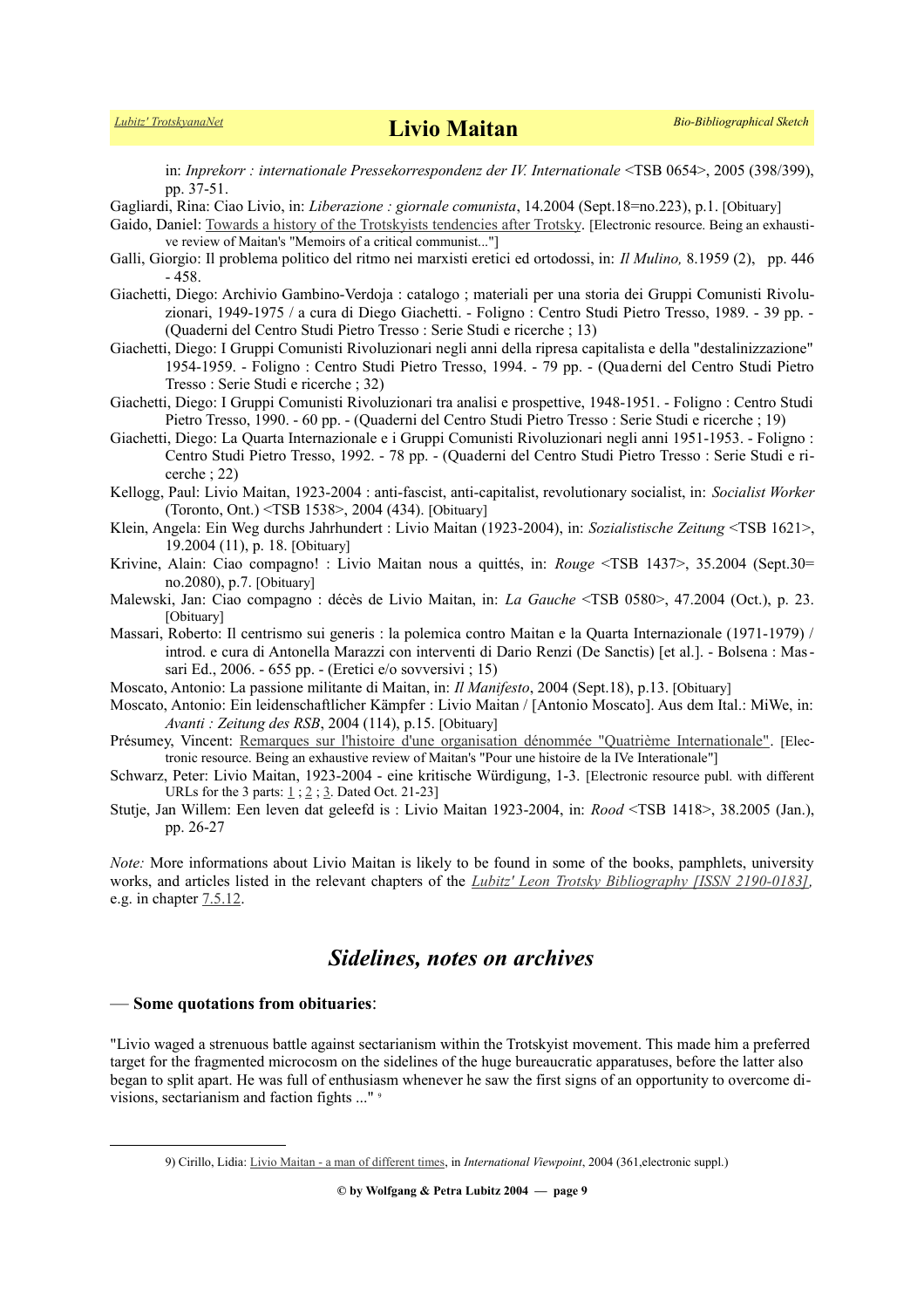in: *Inprekorr : internationale Pressekorrespondenz der IV. Internationale* <TSB 0654>, 2005 (398/399), pp. 37-51.

Gagliardi, Rina: Ciao Livio, in: *Liberazione : giornale comunista*, 14.2004 (Sept.18=no.223), p.1. [Obituary]

- Gaido, Daniel: [Towards a history of the Trotskyists tendencies after Trotsky.](https://www.historicalmaterialism.org/book-review/towards-history-trotskyist-tendencies-after-trotsky) [Electronic resource. Being an exhaustive review of Maitan's "Memoirs of a critical communist..."]
- Galli, Giorgio: Il problema politico del ritmo nei marxisti eretici ed ortodossi, in: *Il Mulino,* 8.1959 (2), pp. 446 - 458.
- Giachetti, Diego: Archivio Gambino-Verdoja : catalogo ; materiali per una storia dei Gruppi Comunisti Rivoluzionari, 1949-1975 / a cura di Diego Giachetti. - Foligno : Centro Studi Pietro Tresso, 1989. - 39 pp. - (Quaderni del Centro Studi Pietro Tresso : Serie Studi e ricerche ; 13)
- Giachetti, Diego: I Gruppi Comunisti Rivoluzionari negli anni della ripresa capitalista e della "destalinizzazione" 1954-1959. - Foligno : Centro Studi Pietro Tresso, 1994. - 79 pp. - (Quaderni del Centro Studi Pietro Tresso : Serie Studi e ricerche ; 32)
- Giachetti, Diego: I Gruppi Comunisti Rivoluzionari tra analisi e prospettive, 1948-1951. Foligno : Centro Studi Pietro Tresso, 1990. - 60 pp. - (Quaderni del Centro Studi Pietro Tresso : Serie Studi e ricerche ; 19)
- Giachetti, Diego: La Quarta Internazionale e i Gruppi Comunisti Rivoluzionari negli anni 1951-1953. Foligno : Centro Studi Pietro Tresso, 1992. - 78 pp. - (Quaderni del Centro Studi Pietro Tresso : Serie Studi e ricerche ; 22)
- Kellogg, Paul: Livio Maitan, 1923-2004 : anti-fascist, anti-capitalist, revolutionary socialist, in: *Socialist Worker* (Toronto, Ont.) <TSB 1538>, 2004 (434). [Obituary]
- Klein, Angela: Ein Weg durchs Jahrhundert : Livio Maitan (1923-2004), in: *Sozialistische Zeitung* <TSB 1621>, 19.2004 (11), p. 18. [Obituary]
- Krivine, Alain: Ciao compagno! : Livio Maitan nous a quittés, in: *Rouge* <TSB 1437>, 35.2004 (Sept.30= no.2080), p.7. [Obituary]
- Malewski, Jan: Ciao compagno : décès de Livio Maitan, in: *La Gauche* <TSB 0580>, 47.2004 (Oct.), p. 23. [Obituary]
- Massari, Roberto: Il centrismo sui generis : la polemica contro Maitan e la Quarta Internazionale (1971-1979) / introd. e cura di Antonella Marazzi con interventi di Dario Renzi (De Sanctis) [et al.]. - Bolsena : Massari Ed., 2006. - 655 pp. - (Eretici e/o sovversivi ; 15)
- Moscato, Antonio: La passione militante di Maitan, in: *Il Manifesto*, 2004 (Sept.18), p.13. [Obituary]
- Moscato, Antonio: Ein leidenschaftlicher Kämpfer : Livio Maitan / [Antonio Moscato]. Aus dem Ital.: MiWe, in: *Avanti : Zeitung des RSB*, 2004 (114), p.15. [Obituary]
- Présumey, Vincent: [Remarques sur l'histoire d'une organisation dénommée "Quatrième Internationale".](file:///E:/HOMEPAGE%20!!!!/Trotskyists/Bio-Bibliographies/odt_aktuell/a%20href=%22https://aplutsoc.files.wordpress.com/2021/09/remarques-historiques_qi_vp_2021.pdf%22) [Electronic resource. Being an exhaustive review of Maitan's "Pour une histoire de la IVe Interationale"]
- Schwarz, Peter: Livio Maitan, 1923-2004 eine kritische Würdigung, 1-3. [Electronic resource publ. with different URLs for the 3 parts:  $1$ ;  $2$ ;  $3$ . Dated Oct. 21-23]
- Stutje, Jan Willem: Een leven dat geleefd is : Livio Maitan 1923-2004, in: *Rood* <TSB 1418>, 38.2005 (Jan.), pp. 26-27

*Note:* More informations about Livio Maitan is likely to be found in some of the books, pamphlets, university works, and articles listed in the relevant chapters of the *[Lubitz' Leon Trotsky Bibliography \[ISSN 2190-0183\],](https://www.trotskyana.net/LubitzBibliographies/Trotsky_Bibliography/Leon_Trotsky_Bibliography.html)* e.g. in chapter [7.5.12.](https://www.trotskyana.net/LubitzBibliographies/Trotsky_Bibliography/Leon_Trotsky_Bibliography_07.html#c7.5.12)

## *Sidelines, notes on archives*

## — **Some quotations from obituaries**:

"Livio waged a strenuous battle against sectarianism within the Trotskyist movement. This made him a preferred target for the fragmented microcosm on the sidelines of the huge bureaucratic apparatuses, before the latter also began to split apart. He was full of enthusiasm whenever he saw the first signs of an opportunity to overcome divisions, sectarianism and faction fights ..." [9](#page-8-0)

**© by Wolfgang & Petra Lubitz 2004 — page 9**

<span id="page-8-0"></span><sup>9)</sup> Cirillo, Lidia: [Livio Maitan - a man of different times,](file:///E:/HOMEPAGE%20!!!!/Trotskyists/Bio-Bibliographies/odt_aktuell/http:%2Fhttps:%2F%2Finternationalviewpoint.org%2Fspip.php%3Farticle58) in *International Viewpoint*, 2004 (361,electronic suppl.)